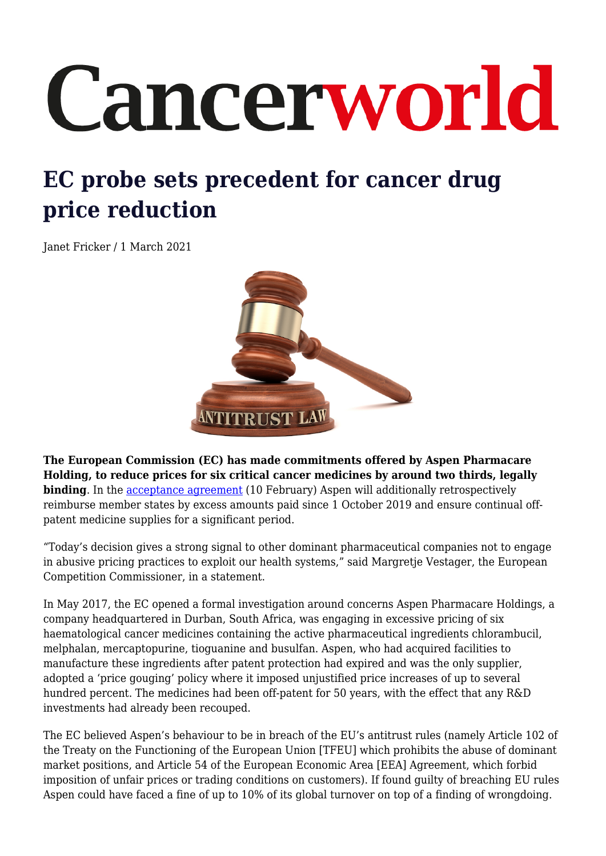## Cancerworld

## **EC probe sets precedent for cancer drug price reduction**

Janet Fricker / 1 March 2021



**The European Commission (EC) has made commitments offered by Aspen Pharmacare Holding, to reduce prices for six critical cancer medicines by around two thirds, legally binding**. In the [acceptance agreement](https://ec.europa.eu/commission/presscorner/detail/en/ip_21_524) (10 February) Aspen will additionally retrospectively reimburse member states by excess amounts paid since 1 October 2019 and ensure continual offpatent medicine supplies for a significant period.

"Today's decision gives a strong signal to other dominant pharmaceutical companies not to engage in abusive pricing practices to exploit our health systems," said Margretje Vestager, the European Competition Commissioner, in a statement.

In May 2017, the EC opened a formal investigation around concerns Aspen Pharmacare Holdings, a company headquartered in Durban, South Africa, was engaging in excessive pricing of six haematological cancer medicines containing the active pharmaceutical ingredients chlorambucil, melphalan, mercaptopurine, tioguanine and busulfan. Aspen, who had acquired facilities to manufacture these ingredients after patent protection had expired and was the only supplier, adopted a 'price gouging' policy where it imposed unjustified price increases of up to several hundred percent. The medicines had been off-patent for 50 years, with the effect that any R&D investments had already been recouped.

The EC believed Aspen's behaviour to be in breach of the EU's antitrust rules (namely Article 102 of the Treaty on the Functioning of the European Union [TFEU] which prohibits the abuse of dominant market positions, and Article 54 of the European Economic Area [EEA] Agreement, which forbid imposition of unfair prices or trading conditions on customers). If found guilty of breaching EU rules Aspen could have faced a fine of up to 10% of its global turnover on top of a finding of wrongdoing.